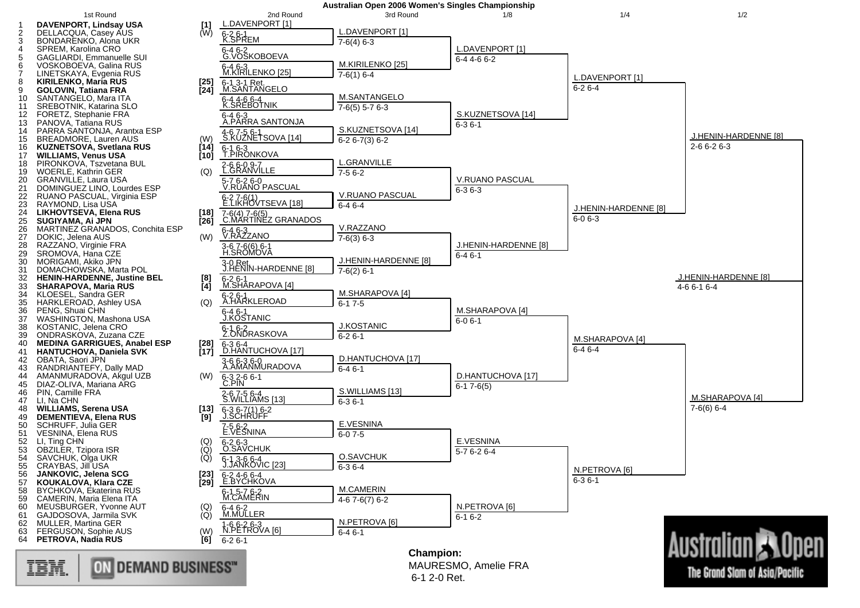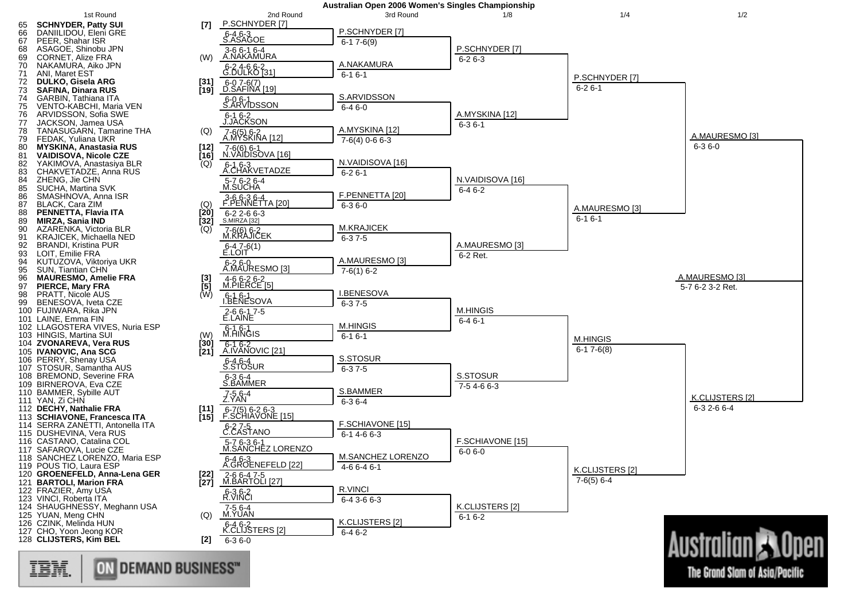

ON DEMAND BUSINESS" 理論

The Grand Slam of Asia/Pacific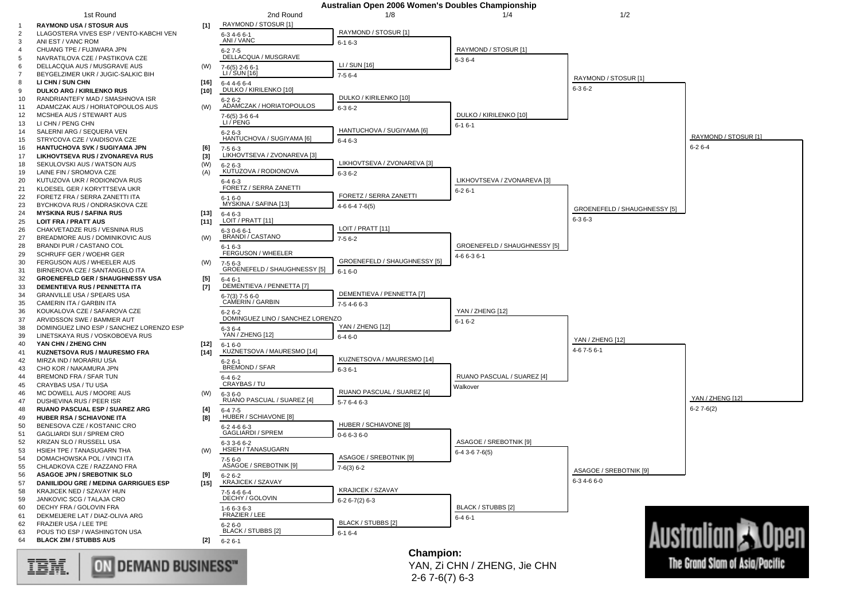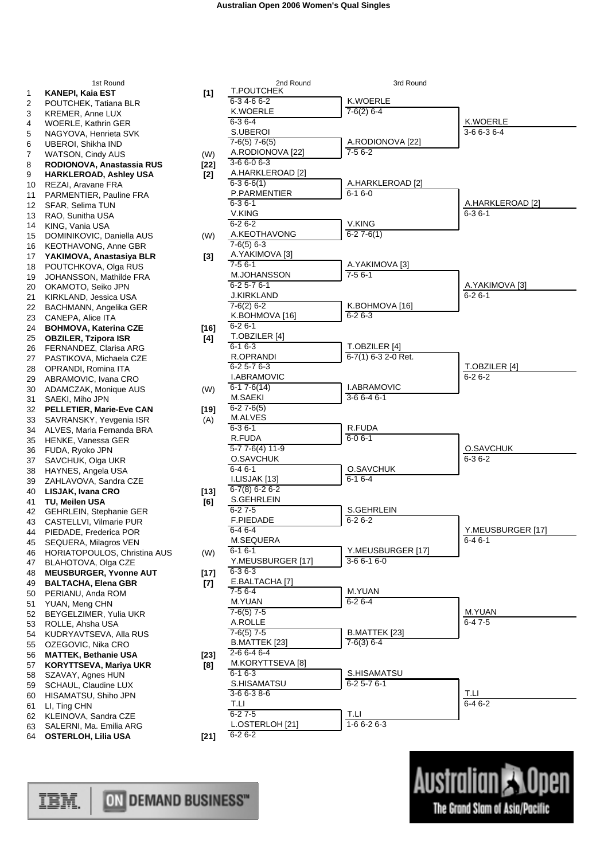|          | 1st Round                                           |        |
|----------|-----------------------------------------------------|--------|
| 1        | KANEPI, Kaia EST                                    | [1]    |
| 2        | POUTCHEK, Tatiana BLR                               |        |
| 3        | <b>KREMER, Anne LUX</b>                             |        |
| 4        | <b>WOERLE, Kathrin GER</b>                          |        |
| 5        | NAGYOVA, Henrieta SVK                               |        |
| 6        | UBEROI, Shikha IND                                  |        |
| 7        | <b>WATSON, Cindy AUS</b>                            | (W)    |
| 8        | RODIONOVA, Anastassia RUS                           | [22]   |
| 9        | HARKLEROAD, Ashley USA<br>REZAI, Aravane FRA        | [2]    |
| 10<br>11 | PARMENTIER, Pauline FRA                             |        |
| 12       | SFAR, Selima TUN                                    |        |
| 13       | RAO, Sunitha USA                                    |        |
| 14       | KING, Vania USA                                     |        |
| 15       | DOMINIKOVIC, Daniella AUS                           | (W)    |
| 16       | <b>KEOTHAVONG, Anne GBR</b>                         |        |
| 17       | YAKIMOVA, Anastasiya BLR                            | [3]    |
| 18       | POUTCHKOVA, Olga RUS                                |        |
| 19       | JOHANSSON, Mathilde FRA                             |        |
| 20       | OKAMOTO, Seiko JPN                                  |        |
| 21       | KIRKLAND, Jessica USA                               |        |
| 22       | BACHMANN, Angelika GER                              |        |
| 23       | CANEPA, Alice ITA                                   |        |
| 24       | <b>BOHMOVA, Katerina CZE</b>                        | [16]   |
| 25       | <b>OBZILER, Tzipora ISR</b>                         | [4]    |
| 26       | FERNANDEZ, Clarisa ARG                              |        |
| 27       | PASTIKOVA, Michaela CZE                             |        |
| 28       | OPRANDI, Romina ITA                                 |        |
| 29       | ABRAMOVIC, Ivana CRO                                |        |
| 30       | ADAMCZAK, Monique AUS                               | (W)    |
| 31       | SAEKI, Miho JPN                                     |        |
| 32       | PELLETIER, Marie-Eve CAN<br>SAVRANSKY, Yevgenia ISR | $[19]$ |
| 33<br>34 | ALVES, Maria Fernanda BRA                           | (A)    |
| 35       | HENKE, Vanessa GER                                  |        |
| 36       | FUDA, Ryoko JPN                                     |        |
| 37       | SAVCHUK, Olga UKR                                   |        |
| 38       | HAYNES, Angela USA                                  |        |
| 39       | ZAHLAVOVA, Sandra CZE                               |        |
| 40       | LISJAK, Ivana CRO                                   | $[13]$ |
| 41       | TU, Meilen USA                                      | [6]    |
| 42       | GEHRLEIN, Stephanie GER                             |        |
| 43       | CASTELLVI, Vilmarie PUR                             |        |
| 44       | PIEDADE, Frederica POR                              |        |
| 45       | SEQUERA, Milagros VEN                               |        |
| 46       | HORIATOPOULOS, Christina AUS                        | (W)    |
| 47       | BLAHOTOVA, Olga CZE                                 |        |
| 48       | <b>MEUSBURGER, Yvonne AUT</b>                       | [17]   |
| 49       | <b>BALTACHA, Elena GBR</b>                          | [7]    |
| 50       | PERIANU, Anda ROM                                   |        |
| 51       | YUAN, Meng CHN                                      |        |
| 52       | BEYGELZIMER, Yulia UKR                              |        |
| 53<br>54 | ROLLE, Ahsha USA<br>KUDRYAVTSEVA, Alla RUS          |        |
| 55       | OZEGOVIC, Nika CRO                                  |        |
| 56       | <b>MATTEK, Bethanie USA</b>                         | [23]   |
| 57       | <b>KORYTTSEVA, Mariya UKR</b>                       | [8]    |
| 58       | SZAVAY, Agnes HUN                                   |        |
| 59       | SCHAUL, Claudine LUX                                |        |
| 60       | HISAMATSU, Shiho JPN                                |        |
| 61       | LI, Ting CHN                                        |        |
| 62       | KLEINOVA, Sandra CZE                                |        |
| 63       | SALERNI, Ma. Emilia ARG                             |        |
| 64       | <b>OSTERLOH, Lilia USA</b>                          | $[21]$ |

|        | 2nd Round          | 3rd Round             |                   |
|--------|--------------------|-----------------------|-------------------|
| [1]    | <b>T.POUTCHEK</b>  |                       |                   |
|        | 6-34-66-2          | K.WOERLE              |                   |
|        | K.WOERLE           | $7-6(2)$ 6-4          |                   |
|        | $6 - 36 - 4$       |                       | K.WOERLE          |
|        | S.UBEROI           |                       | $3-66-36-4$       |
|        | $7-6(5)$ $7-6(5)$  | A.RODIONOVA [22]      |                   |
|        | A.RODIONOVA [22]   | $7-56-2$              |                   |
| (W)    | $3-66-06-3$        |                       |                   |
| [22]   |                    |                       |                   |
| $[2]$  | A.HARKLEROAD [2]   |                       |                   |
|        | $6-36-6(1)$        | A.HARKLEROAD [2]      |                   |
|        | P.PARMENTIER       | $6 - 16 - 0$          |                   |
|        | $6 - 36 - 1$       |                       | A.HARKLEROAD [2]  |
|        | <b>V.KING</b>      |                       | $6 - 36 - 1$      |
|        | $6 - 26 - 2$       | V.KING                |                   |
| (W)    | A.KEOTHAVONG       | $6-27-6(1)$           |                   |
|        | $7-6(5)$ 6-3       |                       |                   |
|        | A.YAKIMOVA [3]     |                       |                   |
| [3]    | $7 - 56 - 1$       |                       |                   |
|        |                    | A.YAKIMOVA [3]        |                   |
|        | M.JOHANSSON        | $7-56-1$              |                   |
|        | $6 - 25 - 76 - 1$  |                       | A.YAKIMOVA [3]    |
|        | <b>J.KIRKLAND</b>  |                       | $6 - 26 - 1$      |
|        | $7-6(2)$ 6-2       | K.BOHMOVA [16]        |                   |
|        | K.BOHMOVA [16]     | $6 - 26 - 3$          |                   |
| $[16]$ | $6 - 26 - 1$       |                       |                   |
|        | T.OBZILER [4]      |                       |                   |
| [4]    | $6 - 16 - 3$       | T.OBZILER [4]         |                   |
|        | R.OPRANDI          |                       |                   |
|        |                    | $6-7(1)$ 6-3 2-0 Ret. |                   |
|        | $6 - 25 - 76 - 3$  |                       | T.OBZILER [4]     |
|        | <b>I.ABRAMOVIC</b> |                       | $6 - 26 - 2$      |
| (W)    | $6-17-6(14)$       | <b>I.ABRAMOVIC</b>    |                   |
|        | M.SAEKI            | $3-66-46-1$           |                   |
| $[19]$ | $6 - 27 - 6(5)$    |                       |                   |
| (A)    | M.ALVES            |                       |                   |
|        | $6 - 36 - 1$       | R.FUDA                |                   |
|        | R.FUDA             | $6 - 06 - 1$          |                   |
|        | $5-77-6(4)11-9$    |                       | O.SAVCHUK         |
|        |                    |                       |                   |
|        | O.SAVCHUK          |                       | $6 - 36 - 2$      |
|        | $6 - 46 - 1$       | O.SAVCHUK             |                   |
|        | I.LISJAK [13]      | $6 - 16 - 4$          |                   |
| $[13]$ | $6-7(8)$ 6-2 6-2   |                       |                   |
| [6]    | S.GEHRLEIN         |                       |                   |
|        | $6 - 27 - 5$       | S.GEHRLEIN            |                   |
|        | F.PIEDADE          | $6 - 26 - 2$          |                   |
|        | $6 - 46 - 4$       |                       | Y.MEUSBURGER [17] |
|        |                    |                       |                   |
|        | M.SEQUERA          |                       | 6-4 6-1           |
| (W)    | $6 - 16 - 1$       | Y.MEUSBURGER [17]     |                   |
|        | Y.MEUSBURGER [17]  | $3-66-16-0$           |                   |
| [17]   | $6 - 36 - 3$       |                       |                   |
| $[7]$  | E.BALTACHA [7]     |                       |                   |
|        | $7-56-4$           | M.YUAN                |                   |
|        | M.YUAN             | $6 - 26 - 4$          |                   |
|        | $7-6(5)$ $7-5$     |                       | M.YUAN            |
|        | A.ROLLE            |                       | $6-47-5$          |
|        | $7-6(5)$ $7-5$     | B.MATTEK [23]         |                   |
|        | B.MATTEK [23]      | $7-6(3)$ 6-4          |                   |
|        |                    |                       |                   |
| $[23]$ | $2 - 66 - 46 - 4$  |                       |                   |
| [8]    | M.KORYTTSEVA [8]   |                       |                   |
|        | $6 - 16 - 3$       | S.HISAMATSU           |                   |
|        | S.HISAMATSU        | $6 - 25 - 76 - 1$     |                   |
|        | $3-66-38-6$        |                       | T.LI              |
|        | T.LI               |                       | $6-46-2$          |
|        | $6 - 27 - 5$       | T.LI.                 |                   |
|        | L.OSTERLOH [21]    | $1-66-26-3$           |                   |
|        | $6 - 26 - 2$       |                       |                   |
| [21]   |                    |                       |                   |
|        |                    |                       |                   |



ON DEMAND BUSINESS" IBM.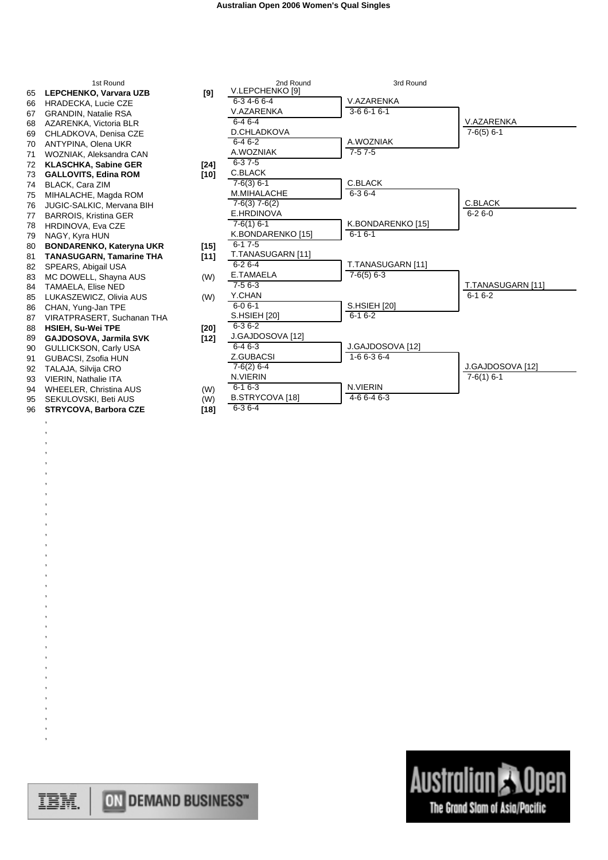|    | 1st Round                       |        | 2nd Round         | 3rd Round         |                   |
|----|---------------------------------|--------|-------------------|-------------------|-------------------|
| 65 | LEPCHENKO, Varvara UZB          | [9]    | V.LEPCHENKO [9]   |                   |                   |
| 66 | HRADECKA, Lucie CZE             |        | 6-34-66-4         | V.AZARENKA        |                   |
| 67 | <b>GRANDIN, Natalie RSA</b>     |        | V.AZARENKA        | $3-66-16-1$       |                   |
| 68 | AZARENKA, Victoria BLR          |        | $6 - 46 - 4$      |                   | V.AZARENKA        |
| 69 | CHLADKOVA, Denisa CZE           |        | D.CHLADKOVA       |                   | $7-6(5)$ 6-1      |
| 70 | ANTYPINA, Olena UKR             |        | $6 - 46 - 2$      | A.WOZNIAK         |                   |
| 71 | WOZNIAK, Aleksandra CAN         |        | A.WOZNIAK         | $7-57-5$          |                   |
| 72 | <b>KLASCHKA, Sabine GER</b>     | $[24]$ | $6 - 37 - 5$      |                   |                   |
| 73 | <b>GALLOVITS, Edina ROM</b>     | $[10]$ | C.BLACK           |                   |                   |
| 74 | <b>BLACK, Cara ZIM</b>          |        | $7-6(3)$ 6-1      | C.BLACK           |                   |
| 75 | MIHALACHE, Magda ROM            |        | M.MIHALACHE       | $6 - 36 - 4$      |                   |
| 76 | JUGIC-SALKIC, Mervana BIH       |        | $7-6(3)$ $7-6(2)$ |                   | C.BLACK           |
| 77 | <b>BARROIS, Kristina GER</b>    |        | E.HRDINOVA        |                   | $6 - 26 - 0$      |
| 78 | <b>HRDINOVA, Eva CZE</b>        |        | $7-6(1)$ 6-1      | K.BONDARENKO [15] |                   |
| 79 | NAGY, Kyra HUN                  |        | K.BONDARENKO [15] | $6-16-1$          |                   |
| 80 | <b>BONDARENKO, Kateryna UKR</b> | $[15]$ | $6 - 17 - 5$      |                   |                   |
| 81 | TANASUGARN, Tamarine THA        | $[11]$ | T.TANASUGARN [11] |                   |                   |
| 82 | SPEARS, Abigail USA             |        | $6 - 26 - 4$      | T.TANASUGARN [11] |                   |
| 83 | MC DOWELL, Shayna AUS           | (W)    | E.TAMAELA         | $7-6(5)$ 6-3      |                   |
| 84 | <b>TAMAELA, Elise NED</b>       |        | $7-56-3$          |                   | T.TANASUGARN [11] |
| 85 | LUKASZEWICZ, Olivia AUS         | (W)    | Y.CHAN            |                   | $6-16-2$          |
| 86 | CHAN. Yung-Jan TPE              |        | $6 - 06 - 1$      | S.HSIEH [20]      |                   |
| 87 | VIRATPRASERT, Suchanan THA      |        | S.HSIEH [20]      | $6-16-2$          |                   |
| 88 | <b>HSIEH, Su-Wei TPE</b>        | [20]   | $6 - 36 - 2$      |                   |                   |
| 89 | GAJDOSOVA, Jarmila SVK          | $[12]$ | J.GAJDOSOVA [12]  |                   |                   |
| 90 | <b>GULLICKSON, Carly USA</b>    |        | $6-46-3$          | J.GAJDOSOVA [12]  |                   |
| 91 | GUBACSI, Zsofia HUN             |        | Z.GUBACSI         | $1-66-36-4$       |                   |
| 92 | TALAJA, Silvija CRO             |        | $7-6(2)$ 6-4      |                   | J.GAJDOSOVA [12]  |
| 93 | <b>VIERIN, Nathalie ITA</b>     |        | N.VIERIN          |                   | $7-6(1)$ 6-1      |
| 94 | <b>WHEELER, Christina AUS</b>   | (W)    | $6 - 16 - 3$      | N.VIERIN          |                   |
| 95 | SEKULOVSKI, Beti AUS            | (W)    | B.STRYCOVA [18]   | $4-66-46-3$       |                   |
| 96 | <b>STRYCOVA, Barbora CZE</b>    | $[18]$ | $6 - 36 - 4$      |                   |                   |

, , , , , , , , , , , , , , , , , , , , , , , , , , , , , , , ,